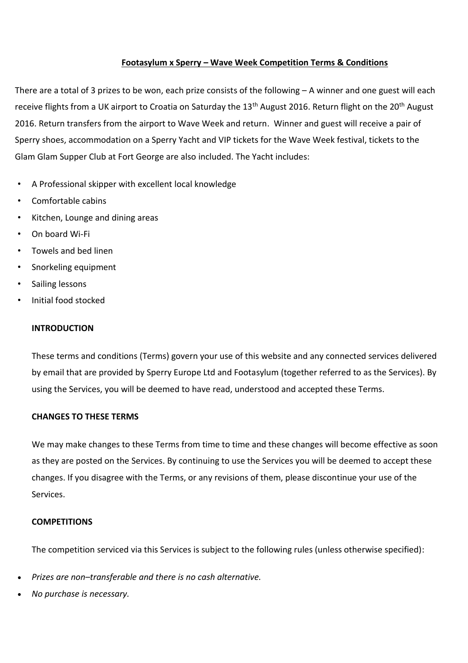# **Footasylum x Sperry – Wave Week Competition Terms & Conditions**

There are a total of 3 prizes to be won, each prize consists of the following – A winner and one guest will each receive flights from a UK airport to Croatia on Saturday the 13<sup>th</sup> August 2016. Return flight on the 20<sup>th</sup> August 2016. Return transfers from the airport to Wave Week and return. Winner and guest will receive a pair of Sperry shoes, accommodation on a Sperry Yacht and VIP tickets for the Wave Week festival, tickets to the Glam Glam Supper Club at Fort George are also included. The Yacht includes:

- A Professional skipper with excellent local knowledge
- Comfortable cabins
- Kitchen, Lounge and dining areas
- On board Wi-Fi
- Towels and bed linen
- Snorkeling equipment
- Sailing lessons
- Initial food stocked

### **INTRODUCTION**

These terms and conditions (Terms) govern your use of this website and any connected services delivered by email that are provided by Sperry Europe Ltd and Footasylum (together referred to as the Services). By using the Services, you will be deemed to have read, understood and accepted these Terms.

## **CHANGES TO THESE TERMS**

We may make changes to these Terms from time to time and these changes will become effective as soon as they are posted on the Services. By continuing to use the Services you will be deemed to accept these changes. If you disagree with the Terms, or any revisions of them, please discontinue your use of the Services.

## **COMPETITIONS**

The competition serviced via this Services is subject to the following rules (unless otherwise specified):

- *Prizes are non–transferable and there is no cash alternative.*
- *No purchase is necessary.*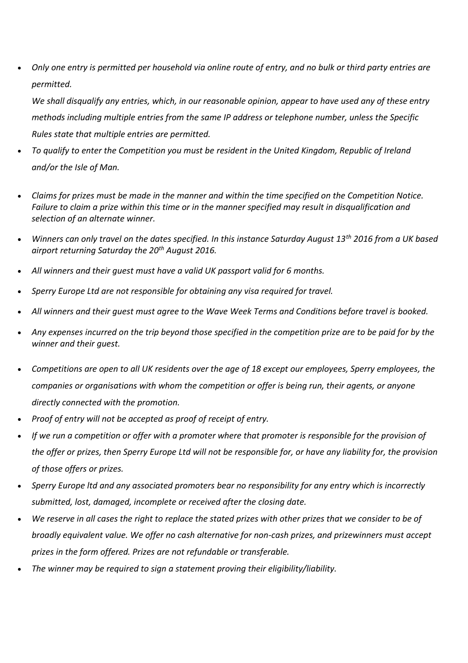*Only one entry is permitted per household via online route of entry, and no bulk or third party entries are permitted.*

*We shall disqualify any entries, which, in our reasonable opinion, appear to have used any of these entry methods including multiple entries from the same IP address or telephone number, unless the Specific Rules state that multiple entries are permitted.*

- *To qualify to enter the Competition you must be resident in the United Kingdom, Republic of Ireland and/or the Isle of Man.*
- *Claims for prizes must be made in the manner and within the time specified on the Competition Notice. Failure to claim a prize within this time or in the manner specified may result in disqualification and selection of an alternate winner.*
- *Winners can only travel on the dates specified. In this instance Saturday August 13th 2016 from a UK based airport returning Saturday the 20th August 2016.*
- *All winners and their guest must have a valid UK passport valid for 6 months.*
- *Sperry Europe Ltd are not responsible for obtaining any visa required for travel.*
- *All winners and their guest must agree to the Wave Week Terms and Conditions before travel is booked.*
- *Any expenses incurred on the trip beyond those specified in the competition prize are to be paid for by the winner and their guest.*
- *Competitions are open to all UK residents over the age of 18 except our employees, Sperry employees, the companies or organisations with whom the competition or offer is being run, their agents, or anyone directly connected with the promotion.*
- *Proof of entry will not be accepted as proof of receipt of entry.*
- *If we run a competition or offer with a promoter where that promoter is responsible for the provision of the offer or prizes, then Sperry Europe Ltd will not be responsible for, or have any liability for, the provision of those offers or prizes.*
- *Sperry Europe ltd and any associated promoters bear no responsibility for any entry which is incorrectly submitted, lost, damaged, incomplete or received after the closing date.*
- *We reserve in all cases the right to replace the stated prizes with other prizes that we consider to be of broadly equivalent value. We offer no cash alternative for non-cash prizes, and prizewinners must accept prizes in the form offered. Prizes are not refundable or transferable.*
- *The winner may be required to sign a statement proving their eligibility/liability.*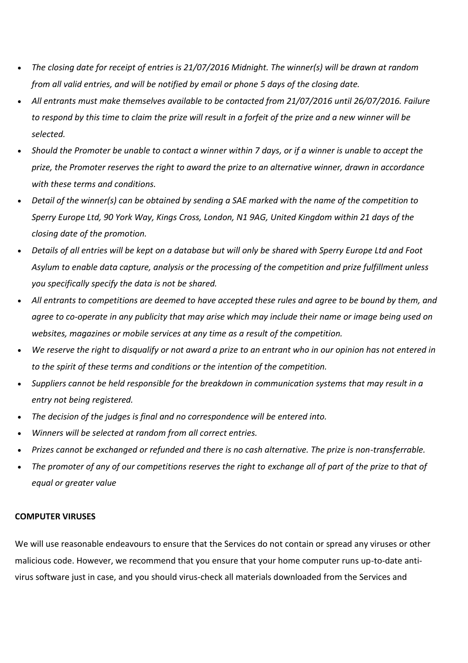- *The closing date for receipt of entries is 21/07/2016 Midnight. The winner(s) will be drawn at random from all valid entries, and will be notified by email or phone 5 days of the closing date.*
- *All entrants must make themselves available to be contacted from 21/07/2016 until 26/07/2016. Failure to respond by this time to claim the prize will result in a forfeit of the prize and a new winner will be selected.*
- *Should the Promoter be unable to contact a winner within 7 days, or if a winner is unable to accept the prize, the Promoter reserves the right to award the prize to an alternative winner, drawn in accordance with these terms and conditions.*
- *Detail of the winner(s) can be obtained by sending a SAE marked with the name of the competition to Sperry Europe Ltd, 90 York Way, Kings Cross, London, N1 9AG, United Kingdom within 21 days of the closing date of the promotion.*
- *Details of all entries will be kept on a database but will only be shared with Sperry Europe Ltd and Foot Asylum to enable data capture, analysis or the processing of the competition and prize fulfillment unless you specifically specify the data is not be shared.*
- *All entrants to competitions are deemed to have accepted these rules and agree to be bound by them, and agree to co-operate in any publicity that may arise which may include their name or image being used on websites, magazines or mobile services at any time as a result of the competition.*
- *We reserve the right to disqualify or not award a prize to an entrant who in our opinion has not entered in to the spirit of these terms and conditions or the intention of the competition.*
- *Suppliers cannot be held responsible for the breakdown in communication systems that may result in a entry not being registered.*
- *The decision of the judges is final and no correspondence will be entered into.*
- *Winners will be selected at random from all correct entries.*
- *Prizes cannot be exchanged or refunded and there is no cash alternative. The prize is non-transferrable.*
- *The promoter of any of our competitions reserves the right to exchange all of part of the prize to that of equal or greater value*

#### **COMPUTER VIRUSES**

We will use reasonable endeavours to ensure that the Services do not contain or spread any viruses or other malicious code. However, we recommend that you ensure that your home computer runs up-to-date antivirus software just in case, and you should virus-check all materials downloaded from the Services and